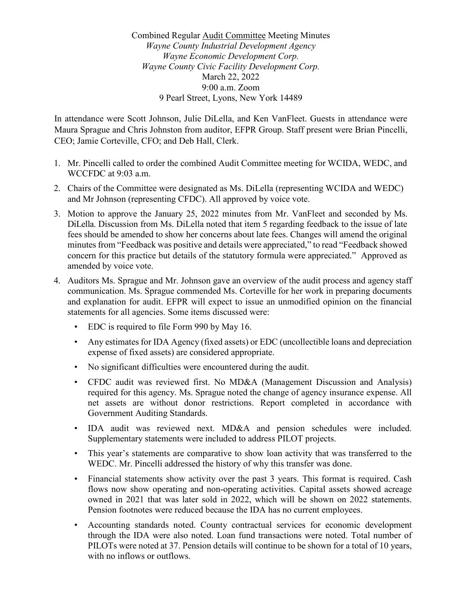Combined Regular Audit Committee Meeting Minutes *Wayne County Industrial Development Agency Wayne Economic Development Corp. Wayne County Civic Facility Development Corp.* March 22, 2022 9:00 a.m. Zoom 9 Pearl Street, Lyons, New York 14489

In attendance were Scott Johnson, Julie DiLella, and Ken VanFleet. Guests in attendance were Maura Sprague and Chris Johnston from auditor, EFPR Group. Staff present were Brian Pincelli, CEO; Jamie Corteville, CFO; and Deb Hall, Clerk.

- 1. Mr. Pincelli called to order the combined Audit Committee meeting for WCIDA, WEDC, and WCCFDC at 9:03 a.m.
- 2. Chairs of the Committee were designated as Ms. DiLella (representing WCIDA and WEDC) and Mr Johnson (representing CFDC). All approved by voice vote.
- 3. Motion to approve the January 25, 2022 minutes from Mr. VanFleet and seconded by Ms. DiLella. Discussion from Ms. DiLella noted that item 5 regarding feedback to the issue of late fees should be amended to show her concerns about late fees. Changes will amend the original minutes from "Feedback was positive and details were appreciated," to read "Feedback showed concern for this practice but details of the statutory formula were appreciated." Approved as amended by voice vote.
- 4. Auditors Ms. Sprague and Mr. Johnson gave an overview of the audit process and agency staff communication. Ms. Sprague commended Ms. Corteville for her work in preparing documents and explanation for audit. EFPR will expect to issue an unmodified opinion on the financial statements for all agencies. Some items discussed were:
	- EDC is required to file Form 990 by May 16.
	- Any estimates for IDA Agency (fixed assets) or EDC (uncollectible loans and depreciation expense of fixed assets) are considered appropriate.
	- No significant difficulties were encountered during the audit.
	- CFDC audit was reviewed first. No MD&A (Management Discussion and Analysis) required for this agency. Ms. Sprague noted the change of agency insurance expense. All net assets are without donor restrictions. Report completed in accordance with Government Auditing Standards.
	- IDA audit was reviewed next. MD&A and pension schedules were included. Supplementary statements were included to address PILOT projects.
	- This year's statements are comparative to show loan activity that was transferred to the WEDC. Mr. Pincelli addressed the history of why this transfer was done.
	- Financial statements show activity over the past 3 years. This format is required. Cash flows now show operating and non-operating activities. Capital assets showed acreage owned in 2021 that was later sold in 2022, which will be shown on 2022 statements. Pension footnotes were reduced because the IDA has no current employees.
	- Accounting standards noted. County contractual services for economic development through the IDA were also noted. Loan fund transactions were noted. Total number of PILOTs were noted at 37. Pension details will continue to be shown for a total of 10 years, with no inflows or outflows.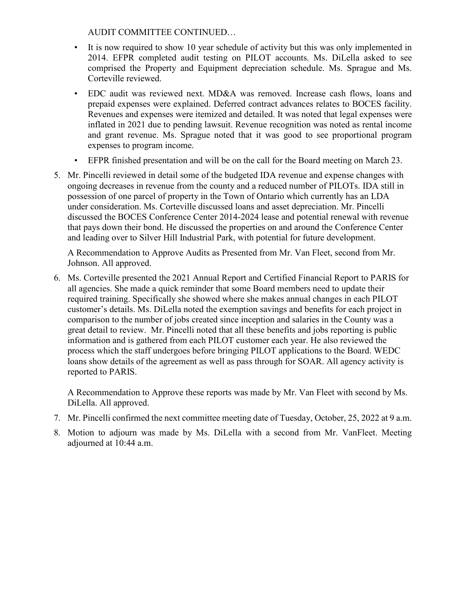AUDIT COMMITTEE CONTINUED…

- It is now required to show 10 year schedule of activity but this was only implemented in 2014. EFPR completed audit testing on PILOT accounts. Ms. DiLella asked to see comprised the Property and Equipment depreciation schedule. Ms. Sprague and Ms. Corteville reviewed.
- EDC audit was reviewed next. MD&A was removed. Increase cash flows, loans and prepaid expenses were explained. Deferred contract advances relates to BOCES facility. Revenues and expenses were itemized and detailed. It was noted that legal expenses were inflated in 2021 due to pending lawsuit. Revenue recognition was noted as rental income and grant revenue. Ms. Sprague noted that it was good to see proportional program expenses to program income.
- EFPR finished presentation and will be on the call for the Board meeting on March 23.
- 5. Mr. Pincelli reviewed in detail some of the budgeted IDA revenue and expense changes with ongoing decreases in revenue from the county and a reduced number of PILOTs. IDA still in possession of one parcel of property in the Town of Ontario which currently has an LDA under consideration. Ms. Corteville discussed loans and asset depreciation. Mr. Pincelli discussed the BOCES Conference Center 2014-2024 lease and potential renewal with revenue that pays down their bond. He discussed the properties on and around the Conference Center and leading over to Silver Hill Industrial Park, with potential for future development.

A Recommendation to Approve Audits as Presented from Mr. Van Fleet, second from Mr. Johnson. All approved.

6. Ms. Corteville presented the 2021 Annual Report and Certified Financial Report to PARIS for all agencies. She made a quick reminder that some Board members need to update their required training. Specifically she showed where she makes annual changes in each PILOT customer's details. Ms. DiLella noted the exemption savings and benefits for each project in comparison to the number of jobs created since inception and salaries in the County was a great detail to review. Mr. Pincelli noted that all these benefits and jobs reporting is public information and is gathered from each PILOT customer each year. He also reviewed the process which the staff undergoes before bringing PILOT applications to the Board. WEDC loans show details of the agreement as well as pass through for SOAR. All agency activity is reported to PARIS.

A Recommendation to Approve these reports was made by Mr. Van Fleet with second by Ms. DiLella. All approved.

- 7. Mr. Pincelli confirmed the next committee meeting date of Tuesday, October, 25, 2022 at 9 a.m.
- 8. Motion to adjourn was made by Ms. DiLella with a second from Mr. VanFleet. Meeting adjourned at 10:44 a.m.